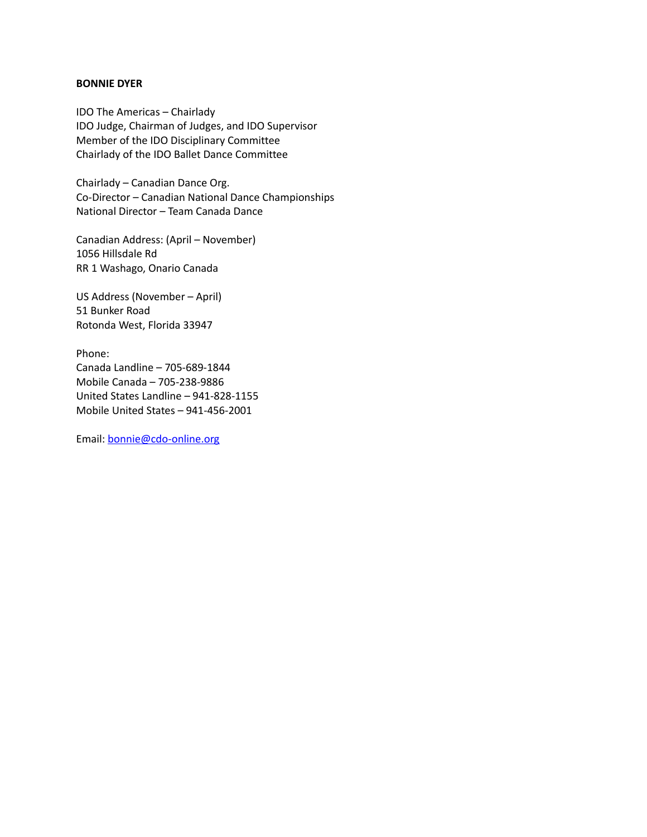## **BONNIE DYER**

IDO The Americas – Chairlady IDO Judge, Chairman of Judges, and IDO Supervisor Member of the IDO Disciplinary Committee Chairlady of the IDO Ballet Dance Committee

Chairlady – Canadian Dance Org. Co-Director – Canadian National Dance Championships National Director – Team Canada Dance

Canadian Address: (April – November) 1056 Hillsdale Rd RR 1 Washago, Onario Canada

US Address (November – April) 51 Bunker Road Rotonda West, Florida 33947

Phone: Canada Landline – 705-689-1844 Mobile Canada – 705-238-9886 United States Landline – 941-828-1155 Mobile United States – 941-456-2001

Email: [bonnie@cdo-online.org](mailto:bonnie@cdo-online.org)